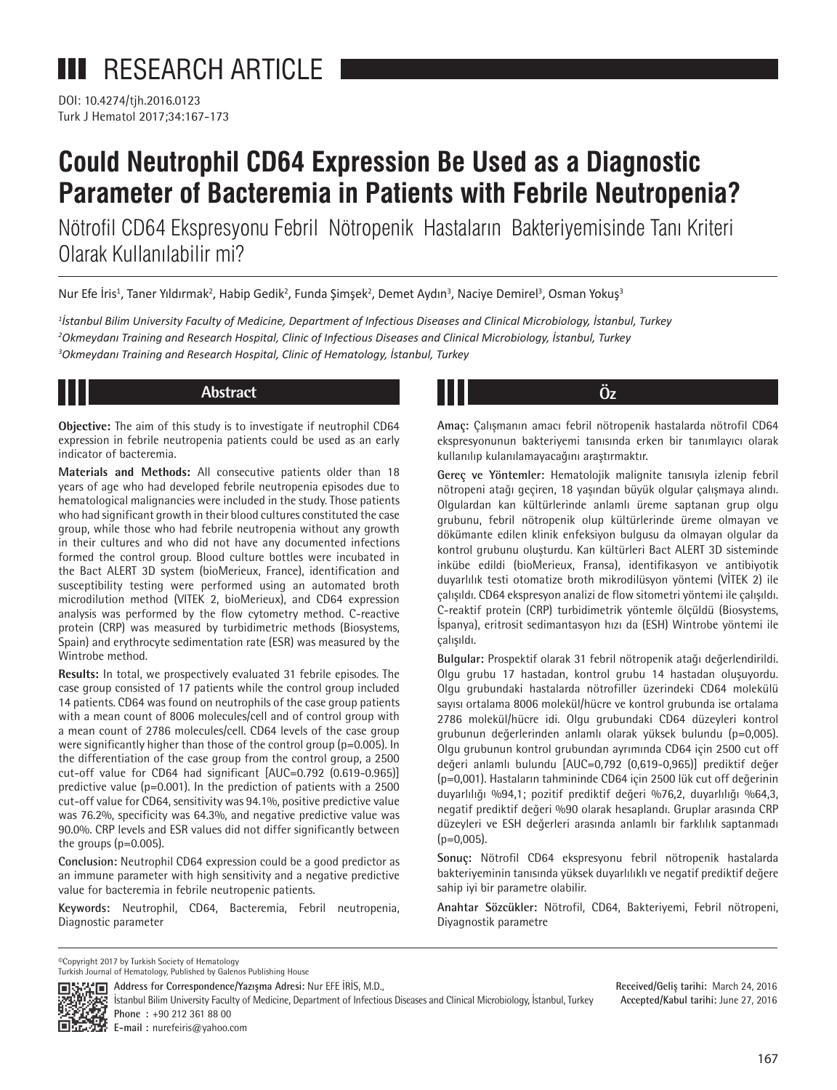DOI: 10.4274/tjh.2016.0123 Turk J Hematol 2017;34:167-173

# **Could Neutrophil CD64 Expression Be Used as a Diagnostic Parameter of Bacteremia in Patients with Febrile Neutropenia?**

Nötrofil CD64 Ekspresyonu Febril Nötropenik Hastaların Bakteriyemisinde Tanı Kriteri Olarak Kullanılabilir mi?

Nur Efe İris<sup>1</sup>, Taner Yıldırmak<sup>2</sup>, Habip Gedik<sup>2</sup>, Funda Şimşek<sup>2</sup>, Demet Aydın<sup>3</sup>, Naciye Demirel<sup>3</sup>, Osman Yokuş<sup>3</sup>

*1 İstanbul Bilim University Faculty of Medicine, Department of Infectious Diseases and Clinical Microbiology, İstanbul, Turkey 2 Okmeydanı Training and Research Hospital, Clinic of Infectious Diseases and Clinical Microbiology, İstanbul, Turkey 3 Okmeydanı Training and Research Hospital, Clinic of Hematology, İstanbul, Turkey*

**Objective:** The aim of this study is to investigate if neutrophil CD64 expression in febrile neutropenia patients could be used as an early indicator of bacteremia.

**Materials and Methods:** All consecutive patients older than 18 years of age who had developed febrile neutropenia episodes due to hematological malignancies were included in the study. Those patients who had significant growth in their blood cultures constituted the case group, while those who had febrile neutropenia without any growth in their cultures and who did not have any documented infections formed the control group. Blood culture bottles were incubated in the Bact ALERT 3D system (bioMerieux, France), identification and susceptibility testing were performed using an automated broth microdilution method (VITEK 2, bioMerieux), and CD64 expression analysis was performed by the flow cytometry method. C-reactive protein (CRP) was measured by turbidimetric methods (Biosystems, Spain) and erythrocyte sedimentation rate (ESR) was measured by the Wintrobe method.

**Results:** In total, we prospectively evaluated 31 febrile episodes. The case group consisted of 17 patients while the control group included 14 patients. CD64 was found on neutrophils of the case group patients with a mean count of 8006 molecules/cell and of control group with a mean count of 2786 molecules/cell. CD64 levels of the case group were significantly higher than those of the control group (p=0.005). In the differentiation of the case group from the control group, a 2500 cut-off value for CD64 had significant [AUC=0.792 (0.619-0.965)] predictive value (p=0.001). In the prediction of patients with a 2500 cut-off value for CD64, sensitivity was 94.1%, positive predictive value was 76.2%, specificity was 64.3%, and negative predictive value was 90.0%. CRP levels and ESR values did not differ significantly between the groups (p=0.005).

**Conclusion:** Neutrophil CD64 expression could be a good predictor as an immune parameter with high sensitivity and a negative predictive value for bacteremia in febrile neutropenic patients.

**Keywords:** Neutrophil, CD64, Bacteremia, Febril neutropenia, Diagnostic parameter

**Abstract Öz**

**Amaç:** Çalışmanın amacı febril nötropenik hastalarda nötrofil CD64 ekspresyonunun bakteriyemi tanısında erken bir tanımlayıcı olarak kullanılıp kulanılamayacağını araştırmaktır.

**Gereç ve Yöntemler:** Hematolojik malignite tanısıyla izlenip febril nötropeni atağı geçiren, 18 yaşından büyük olgular çalışmaya alındı. Olgulardan kan kültürlerinde anlamlı üreme saptanan grup olgu grubunu, febril nötropenik olup kültürlerinde üreme olmayan ve dökümante edilen klinik enfeksiyon bulgusu da olmayan olgular da kontrol grubunu oluşturdu. Kan kültürleri Bact ALERT 3D sisteminde inkübe edildi (bioMerieux, Fransa), identifikasyon ve antibiyotik duyarlılık testi otomatize broth mikrodilüsyon yöntemi (VİTEK 2) ile çalışıldı. CD64 ekspresyon analizi de flow sitometri yöntemi ile çalışıldı. C-reaktif protein (CRP) turbidimetrik yöntemle ölçüldü (Biosystems, İspanya), eritrosit sedimantasyon hızı da (ESH) Wintrobe yöntemi ile çalışıldı.

**Bulgular:** Prospektif olarak 31 febril nötropenik atağı değerlendirildi. Olgu grubu 17 hastadan, kontrol grubu 14 hastadan oluşuyordu. Olgu grubundaki hastalarda nötrofiller üzerindeki CD64 molekülü sayısı ortalama 8006 molekül/hücre ve kontrol grubunda ise ortalama 2786 molekül/hücre idi. Olgu grubundaki CD64 düzeyleri kontrol grubunun değerlerinden anlamlı olarak yüksek bulundu (p=0,005). Olgu grubunun kontrol grubundan ayrımında CD64 için 2500 cut off değeri anlamlı bulundu [AUC=0,792 (0,619-0,965)] prediktif değer (p=0,001). Hastaların tahmininde CD64 için 2500 lük cut off değerinin duyarlılığı %94,1; pozitif prediktif değeri %76,2, duyarlılığı %64,3, negatif prediktif değeri %90 olarak hesaplandı. Gruplar arasında CRP düzeyleri ve ESH değerleri arasında anlamlı bir farklılık saptanmadı  $(p=0,005)$ .

**Sonuç:** Nötrofil CD64 ekspresyonu febril nötropenik hastalarda bakteriyeminin tanısında yüksek duyarlılıklı ve negatif prediktif değere sahip iyi bir parametre olabilir.

**Anahtar Sözcükler:** Nötrofil, CD64, Bakteriyemi, Febril nötropeni, Diyagnostik parametre

©Copyright 2017 by Turkish Society of Hematology

**Address for Correspondence/Yazışma Adresi:** Nur EFE İRİS, M.D.,



**Received/Geliş tarihi:** March 24, 2016 **Accepted/Kabul tarihi:** June 27, 2016

**E-mail :** nurefeiris@yahoo.com

Turkish Journal of Hematology, Published by Galenos Publishing House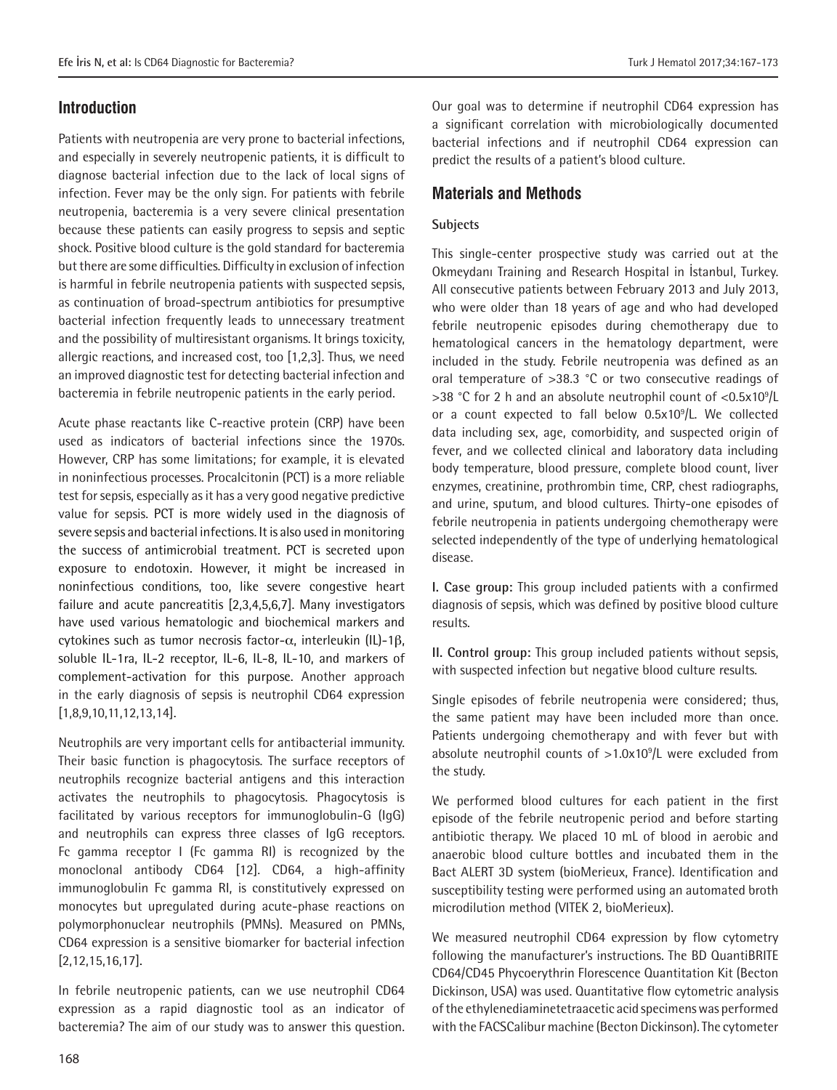# **Introduction**

Patients with neutropenia are very prone to bacterial infections, and especially in severely neutropenic patients, it is difficult to diagnose bacterial infection due to the lack of local signs of infection. Fever may be the only sign. For patients with febrile neutropenia, bacteremia is a very severe clinical presentation because these patients can easily progress to sepsis and septic shock. Positive blood culture is the gold standard for bacteremia but there are some difficulties. Difficulty in exclusion of infection is harmful in febrile neutropenia patients with suspected sepsis, as continuation of broad-spectrum antibiotics for presumptive bacterial infection frequently leads to unnecessary treatment and the possibility of multiresistant organisms. It brings toxicity, allergic reactions, and increased cost, too [1,2,3]. Thus, we need an improved diagnostic test for detecting bacterial infection and bacteremia in febrile neutropenic patients in the early period.

Acute phase reactants like C-reactive protein (CRP) have been used as indicators of bacterial infections since the 1970s. However, CRP has some limitations; for example, it is elevated in noninfectious processes. Procalcitonin (PCT) is a more reliable test for sepsis, especially as it has a very good negative predictive value for sepsis. PCT is more widely used in the diagnosis of severe sepsis and bacterial infections. It is also used in monitoring the success of antimicrobial treatment. PCT is secreted upon exposure to endotoxin. However, it might be increased in noninfectious conditions, too, like severe congestive heart failure and acute pancreatitis [2,3,4,5,6,7]. Many investigators have used various hematologic and biochemical markers and cytokines such as tumor necrosis factor-α, interleukin (IL)-1β, soluble IL-1ra, IL-2 receptor, IL-6, IL-8, IL-10, and markers of complement-activation for this purpose. Another approach in the early diagnosis of sepsis is neutrophil CD64 expression [1,8,9,10,11,12,13,14].

Neutrophils are very important cells for antibacterial immunity. Their basic function is phagocytosis. The surface receptors of neutrophils recognize bacterial antigens and this interaction activates the neutrophils to phagocytosis. Phagocytosis is facilitated by various receptors for immunoglobulin-G (IgG) and neutrophils can express three classes of IgG receptors. Fc gamma receptor I (Fc gamma RI) is recognized by the monoclonal antibody CD64 [12]. CD64, a high-affinity immunoglobulin Fc gamma RI, is constitutively expressed on monocytes but upregulated during acute-phase reactions on polymorphonuclear neutrophils (PMNs). Measured on PMNs, CD64 expression is a sensitive biomarker for bacterial infection [2,12,15,16,17].

In febrile neutropenic patients, can we use neutrophil CD64 expression as a rapid diagnostic tool as an indicator of bacteremia? The aim of our study was to answer this question.

Our goal was to determine if neutrophil CD64 expression has a significant correlation with microbiologically documented bacterial infections and if neutrophil CD64 expression can predict the results of a patient's blood culture.

# **Materials and Methods**

### **Subjects**

This single-center prospective study was carried out at the Okmeydanı Training and Research Hospital in İstanbul, Turkey. All consecutive patients between February 2013 and July 2013, who were older than 18 years of age and who had developed febrile neutropenic episodes during chemotherapy due to hematological cancers in the hematology department, were included in the study. Febrile neutropenia was defined as an oral temperature of >38.3 °C or two consecutive readings of >38 °C for 2 h and an absolute neutrophil count of <0.5x10<sup>9</sup>/L or a count expected to fall below 0.5x10<sup>9</sup> /L. We collected data including sex, age, comorbidity, and suspected origin of fever, and we collected clinical and laboratory data including body temperature, blood pressure, complete blood count, liver enzymes, creatinine, prothrombin time, CRP, chest radiographs, and urine, sputum, and blood cultures. Thirty-one episodes of febrile neutropenia in patients undergoing chemotherapy were selected independently of the type of underlying hematological disease.

**I. Case group:** This group included patients with a confirmed diagnosis of sepsis, which was defined by positive blood culture results.

**II. Control group:** This group included patients without sepsis, with suspected infection but negative blood culture results.

Single episodes of febrile neutropenia were considered; thus, the same patient may have been included more than once. Patients undergoing chemotherapy and with fever but with absolute neutrophil counts of  $>1.0x10<sup>9</sup>/L$  were excluded from the study.

We performed blood cultures for each patient in the first episode of the febrile neutropenic period and before starting antibiotic therapy. We placed 10 mL of blood in aerobic and anaerobic blood culture bottles and incubated them in the Bact ALERT 3D system (bioMerieux, France). Identification and susceptibility testing were performed using an automated broth microdilution method (VITEK 2, bioMerieux).

We measured neutrophil CD64 expression by flow cytometry following the manufacturer's instructions. The BD QuantiBRITE CD64/CD45 Phycoerythrin Florescence Quantitation Kit (Becton Dickinson, USA) was used. Quantitative flow cytometric analysis of the ethylenediaminetetraacetic acid specimens was performed with the FACSCalibur machine (Becton Dickinson). The cytometer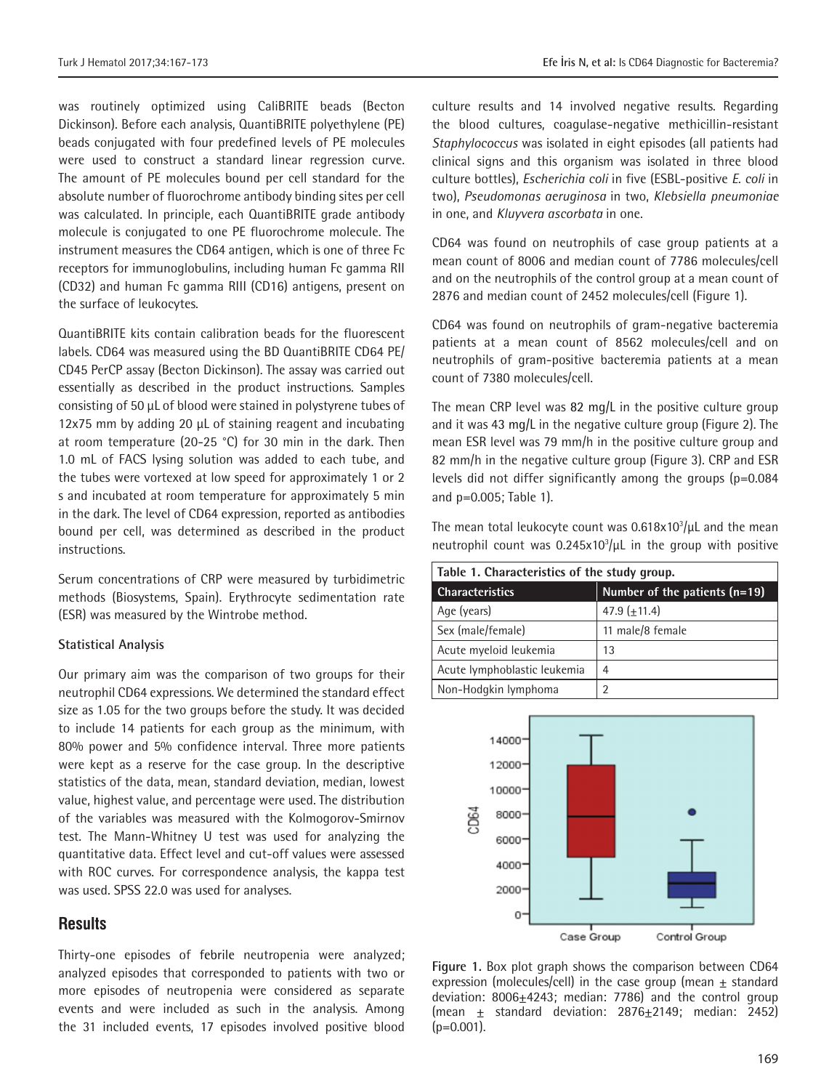was routinely optimized using CaliBRITE beads (Becton Dickinson). Before each analysis, QuantiBRITE polyethylene (PE) beads conjugated with four predefined levels of PE molecules were used to construct a standard linear regression curve. The amount of PE molecules bound per cell standard for the absolute number of fluorochrome antibody binding sites per cell was calculated. In principle, each QuantiBRITE grade antibody molecule is conjugated to one PE fluorochrome molecule. The

instrument measures the CD64 antigen, which is one of three Fc receptors for immunoglobulins, including human Fc gamma RII (CD32) and human Fc gamma RIII (CD16) antigens, present on the surface of leukocytes.

QuantiBRITE kits contain calibration beads for the fluorescent labels. CD64 was measured using the BD QuantiBRITE CD64 PE/ CD45 PerCP assay (Becton Dickinson). The assay was carried out essentially as described in the product instructions. Samples consisting of 50 µL of blood were stained in polystyrene tubes of 12x75 mm by adding 20 µL of staining reagent and incubating at room temperature (20-25 °C) for 30 min in the dark. Then 1.0 mL of FACS lysing solution was added to each tube, and the tubes were vortexed at low speed for approximately 1 or 2 s and incubated at room temperature for approximately 5 min in the dark. The level of CD64 expression, reported as antibodies bound per cell, was determined as described in the product instructions.

Serum concentrations of CRP were measured by turbidimetric methods (Biosystems, Spain). Erythrocyte sedimentation rate (ESR) was measured by the Wintrobe method.

#### **Statistical Analysis**

Our primary aim was the comparison of two groups for their neutrophil CD64 expressions. We determined the standard effect size as 1.05 for the two groups before the study. It was decided to include 14 patients for each group as the minimum, with 80% power and 5% confidence interval. Three more patients were kept as a reserve for the case group. In the descriptive statistics of the data, mean, standard deviation, median, lowest value, highest value, and percentage were used. The distribution of the variables was measured with the Kolmogorov-Smirnov test. The Mann-Whitney U test was used for analyzing the quantitative data. Effect level and cut-off values were assessed with ROC curves. For correspondence analysis, the kappa test was used. SPSS 22.0 was used for analyses.

# **Results**

Thirty-one episodes of febrile neutropenia were analyzed; analyzed episodes that corresponded to patients with two or more episodes of neutropenia were considered as separate events and were included as such in the analysis. Among the 31 included events, 17 episodes involved positive blood

culture results and 14 involved negative results. Regarding the blood cultures, coagulase-negative methicillin-resistant *Staphylococcus* was isolated in eight episodes (all patients had clinical signs and this organism was isolated in three blood culture bottles), *Escherichia coli* in five (ESBL-positive *E. coli* in two), *Pseudomonas aeruginosa* in two, *Klebsiella pneumoniae* in one, and *Kluyvera ascorbata* in one.

CD64 was found on neutrophils of case group patients at a mean count of 8006 and median count of 7786 molecules/cell and on the neutrophils of the control group at a mean count of 2876 and median count of 2452 molecules/cell (Figure 1).

CD64 was found on neutrophils of gram-negative bacteremia patients at a mean count of 8562 molecules/cell and on neutrophils of gram-positive bacteremia patients at a mean count of 7380 molecules/cell.

The mean CRP level was 82 mg/L in the positive culture group and it was 43 mg/L in the negative culture group (Figure 2). The mean ESR level was 79 mm/h in the positive culture group and 82 mm/h in the negative culture group (Figure 3). CRP and ESR levels did not differ significantly among the groups (p=0.084 and p=0.005; Table 1).

The mean total leukocyte count was  $0.618 \times 10^3/\mu$ L and the mean neutrophil count was  $0.245 \times 10^3/\mu$ L in the group with positive

| Table 1. Characteristics of the study group. |                                 |  |  |
|----------------------------------------------|---------------------------------|--|--|
| <b>Characteristics</b>                       | Number of the patients $(n=19)$ |  |  |
| Age (years)                                  | $47.9 + 11.4$                   |  |  |
| Sex (male/female)                            | 11 male/8 female                |  |  |
| Acute myeloid leukemia                       | 13                              |  |  |
| Acute lymphoblastic leukemia                 | 4                               |  |  |
| Non-Hodgkin lymphoma                         | 2                               |  |  |



**Figure 1.** Box plot graph shows the comparison between CD64 expression (molecules/cell) in the case group (mean  $\pm$  standard deviation:  $8006 \pm 4243$ ; median: 7786) and the control group (mean  $\pm$  standard deviation: 2876 $\pm$ 2149; median: 2452)  $(p=0.001)$ .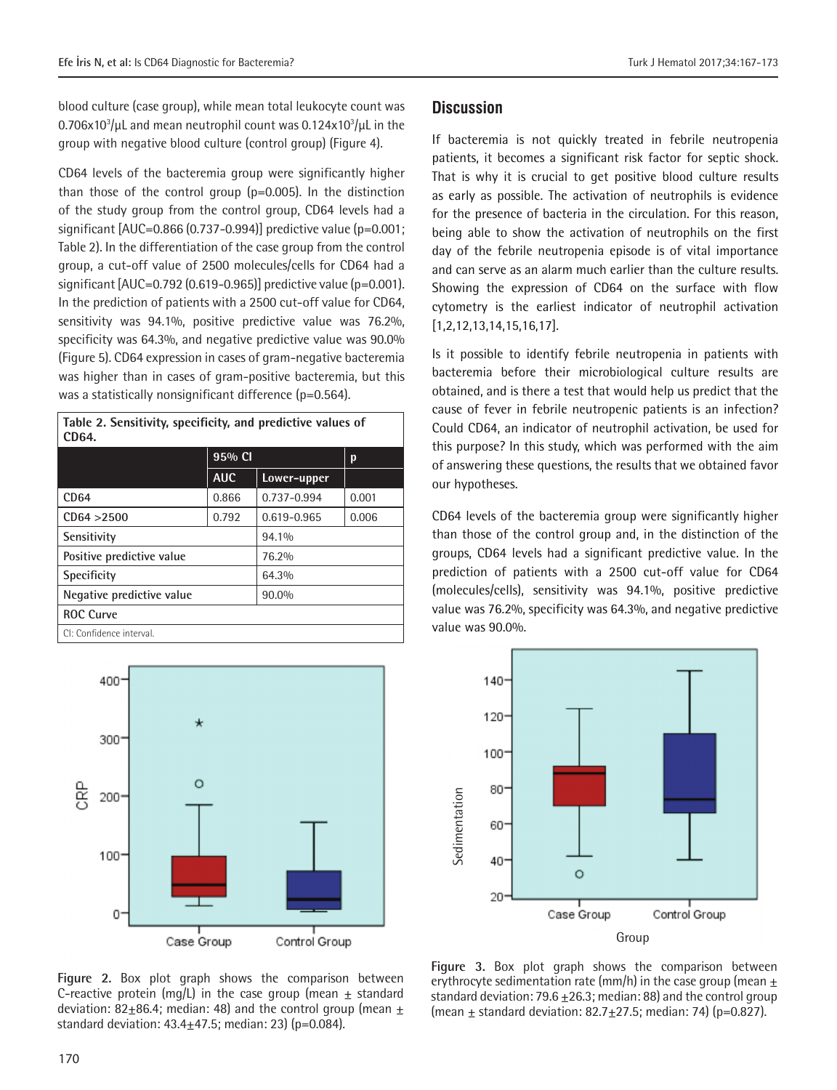blood culture (case group), while mean total leukocyte count was 0.706x10 $^3\prime$ µL and mean neutrophil count was 0.124x10 $^3\prime$ µL in the group with negative blood culture (control group) (Figure 4).

CD64 levels of the bacteremia group were significantly higher than those of the control group (p=0.005). In the distinction of the study group from the control group, CD64 levels had a significant [AUC=0.866 (0.737-0.994)] predictive value (p=0.001; Table 2). In the differentiation of the case group from the control group, a cut-off value of 2500 molecules/cells for CD64 had a significant  $[AUC=0.792 (0.619-0.965)]$  predictive value (p=0.001). In the prediction of patients with a 2500 cut-off value for CD64, sensitivity was 94.1%, positive predictive value was 76.2%, specificity was 64.3%, and negative predictive value was 90.0% (Figure 5). CD64 expression in cases of gram-negative bacteremia was higher than in cases of gram-positive bacteremia, but this was a statistically nonsignificant difference (p=0.564).

**Table 2. Sensitivity, specificity, and predictive values of CD64.**

|                           | 95% CI     |             | p     |
|---------------------------|------------|-------------|-------|
|                           | <b>AUC</b> | Lower-upper |       |
| CD <sub>64</sub>          | 0.866      | 0.737-0.994 | 0.001 |
| CD64 > 2500               | 0.792      | 0.619-0.965 | 0.006 |
| Sensitivity               |            | 94.1%       |       |
| Positive predictive value |            | 76.2%       |       |
| <b>Specificity</b>        |            | 64.3%       |       |
| Negative predictive value |            | 90.0%       |       |
| <b>ROC Curve</b>          |            |             |       |
| CI: Confidence interval.  |            |             |       |



**Figure 2.** Box plot graph shows the comparison between C-reactive protein (mg/L) in the case group (mean  $\pm$  standard deviation: 82 $\pm$ 86.4; median: 48) and the control group (mean  $\pm$ standard deviation:  $43.4 \pm 47.5$ ; median: 23) (p=0.084).

# **Discussion**

If bacteremia is not quickly treated in febrile neutropenia patients, it becomes a significant risk factor for septic shock. That is why it is crucial to get positive blood culture results as early as possible. The activation of neutrophils is evidence for the presence of bacteria in the circulation. For this reason, being able to show the activation of neutrophils on the first day of the febrile neutropenia episode is of vital importance and can serve as an alarm much earlier than the culture results. Showing the expression of CD64 on the surface with flow cytometry is the earliest indicator of neutrophil activation [1,2,12,13,14,15,16,17].

Is it possible to identify febrile neutropenia in patients with bacteremia before their microbiological culture results are obtained, and is there a test that would help us predict that the cause of fever in febrile neutropenic patients is an infection? Could CD64, an indicator of neutrophil activation, be used for this purpose? In this study, which was performed with the aim of answering these questions, the results that we obtained favor our hypotheses.

CD64 levels of the bacteremia group were significantly higher than those of the control group and, in the distinction of the groups, CD64 levels had a significant predictive value. In the prediction of patients with a 2500 cut-off value for CD64 (molecules/cells), sensitivity was 94.1%, positive predictive value was 76.2%, specificity was 64.3%, and negative predictive value was 90.0%.



**Figure 3.** Box plot graph shows the comparison between erythrocyte sedimentation rate (mm/h) in the case group (mean  $\pm$ standard deviation: 79.6  $\pm$ 26.3; median: 88) and the control group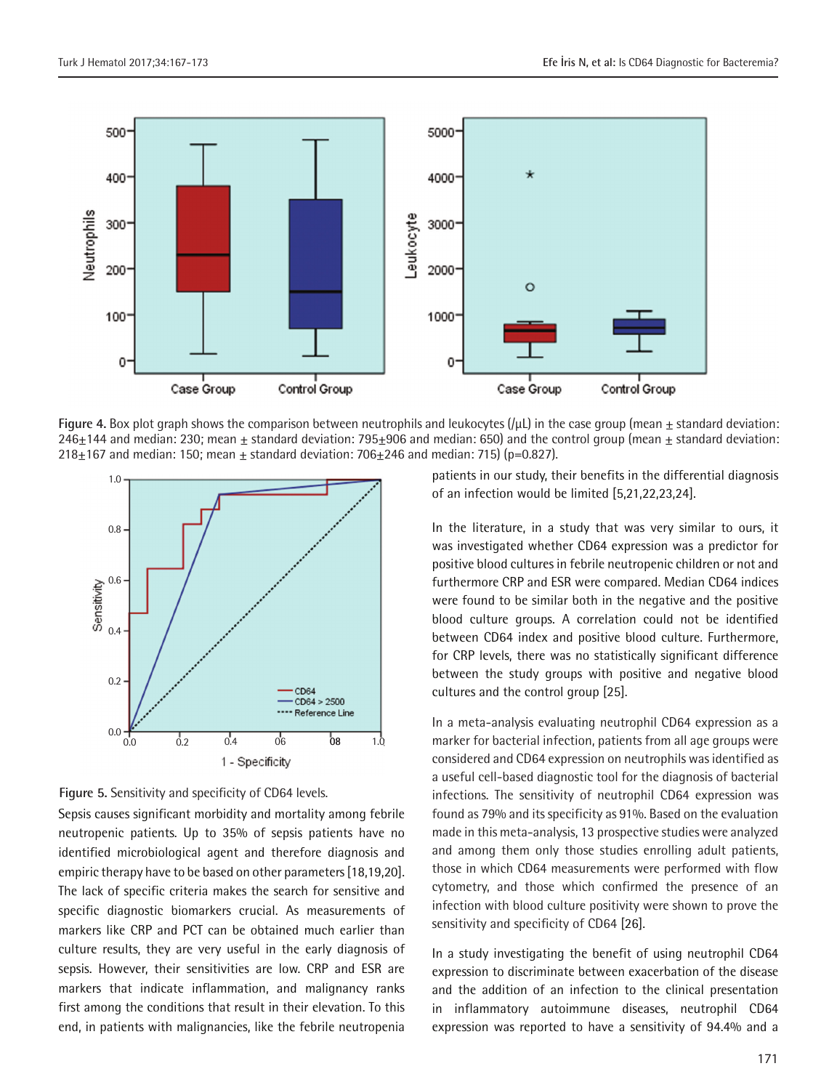

**Figure 4.** Box plot graph shows the comparison between neutrophils and leukocytes  $(/\mu L)$  in the case group (mean  $\pm$  standard deviation: 246 $\pm$ 144 and median: 230; mean  $\pm$  standard deviation: 795 $\pm$ 906 and median: 650) and the control group (mean  $\pm$  standard deviation: 218 $\pm$ 167 and median: 150; mean  $\pm$  standard deviation: 706 $\pm$ 246 and median: 715) (p=0.827).



**Figure 5.** Sensitivity and specificity of CD64 levels.

Sepsis causes significant morbidity and mortality among febrile neutropenic patients. Up to 35% of sepsis patients have no identified microbiological agent and therefore diagnosis and empiric therapy have to be based on other parameters [18,19,20]. The lack of specific criteria makes the search for sensitive and specific diagnostic biomarkers crucial. As measurements of markers like CRP and PCT can be obtained much earlier than culture results, they are very useful in the early diagnosis of sepsis. However, their sensitivities are low. CRP and ESR are markers that indicate inflammation, and malignancy ranks first among the conditions that result in their elevation. To this end, in patients with malignancies, like the febrile neutropenia

patients in our study, their benefits in the differential diagnosis of an infection would be limited [5,21,22,23,24].

In the literature, in a study that was very similar to ours, it was investigated whether CD64 expression was a predictor for positive blood cultures in febrile neutropenic children or not and furthermore CRP and ESR were compared. Median CD64 indices were found to be similar both in the negative and the positive blood culture groups. A correlation could not be identified between CD64 index and positive blood culture. Furthermore, for CRP levels, there was no statistically significant difference between the study groups with positive and negative blood cultures and the control group [25].

In a meta-analysis evaluating neutrophil CD64 expression as a marker for bacterial infection, patients from all age groups were considered and CD64 expression on neutrophils was identified as a useful cell-based diagnostic tool for the diagnosis of bacterial infections. The sensitivity of neutrophil CD64 expression was found as 79% and its specificity as 91%. Based on the evaluation made in this meta-analysis, 13 prospective studies were analyzed and among them only those studies enrolling adult patients, those in which CD64 measurements were performed with flow cytometry, and those which confirmed the presence of an infection with blood culture positivity were shown to prove the sensitivity and specificity of CD64 [26].

In a study investigating the benefit of using neutrophil CD64 expression to discriminate between exacerbation of the disease and the addition of an infection to the clinical presentation in inflammatory autoimmune diseases, neutrophil CD64 expression was reported to have a sensitivity of 94.4% and a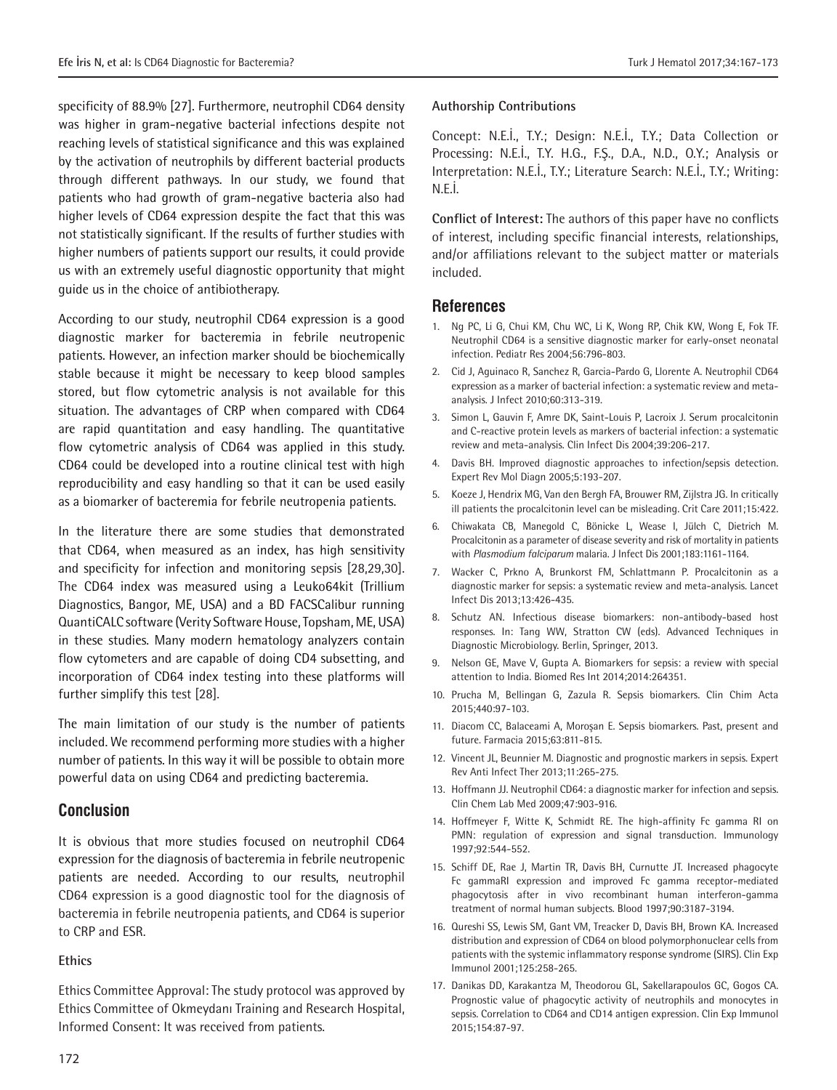specificity of 88.9% [27]. Furthermore, neutrophil CD64 density was higher in gram-negative bacterial infections despite not reaching levels of statistical significance and this was explained by the activation of neutrophils by different bacterial products through different pathways. In our study, we found that patients who had growth of gram-negative bacteria also had higher levels of CD64 expression despite the fact that this was not statistically significant. If the results of further studies with higher numbers of patients support our results, it could provide us with an extremely useful diagnostic opportunity that might guide us in the choice of antibiotherapy.

According to our study, neutrophil CD64 expression is a good diagnostic marker for bacteremia in febrile neutropenic patients. However, an infection marker should be biochemically stable because it might be necessary to keep blood samples stored, but flow cytometric analysis is not available for this situation. The advantages of CRP when compared with CD64 are rapid quantitation and easy handling. The quantitative flow cytometric analysis of CD64 was applied in this study. CD64 could be developed into a routine clinical test with high reproducibility and easy handling so that it can be used easily as a biomarker of bacteremia for febrile neutropenia patients.

In the literature there are some studies that demonstrated that CD64, when measured as an index, has high sensitivity and specificity for infection and monitoring sepsis [28,29,30]. The CD64 index was measured using a Leuko64kit (Trillium Diagnostics, Bangor, ME, USA) and a BD FACSCalibur running QuantiCALC software (Verity Software House, Topsham, ME, USA) in these studies. Many modern hematology analyzers contain flow cytometers and are capable of doing CD4 subsetting, and incorporation of CD64 index testing into these platforms will further simplify this test [28].

The main limitation of our study is the number of patients included. We recommend performing more studies with a higher number of patients. In this way it will be possible to obtain more powerful data on using CD64 and predicting bacteremia.

#### **Conclusion**

It is obvious that more studies focused on neutrophil CD64 expression for the diagnosis of bacteremia in febrile neutropenic patients are needed. According to our results, neutrophil CD64 expression is a good diagnostic tool for the diagnosis of bacteremia in febrile neutropenia patients, and CD64 is superior to CRP and ESR.

### **Ethics**

Ethics Committee Approval: The study protocol was approved by Ethics Committee of Okmeydanı Training and Research Hospital, Informed Consent: It was received from patients.

## **Authorship Contributions**

Concept: N.E.İ., T.Y.; Design: N.E.İ., T.Y.; Data Collection or Processing: N.E.İ., T.Y. H.G., F.Ş., D.A., N.D., O.Y.; Analysis or Interpretation: N.E.İ., T.Y.; Literature Search: N.E.İ., T.Y.; Writing: N.E.İ.

**Conflict of Interest:** The authors of this paper have no conflicts of interest, including specific financial interests, relationships, and/or affiliations relevant to the subject matter or materials included.

#### **References**

- 1. Ng PC, Li G, Chui KM, Chu WC, Li K, Wong RP, Chik KW, Wong E, Fok TF. Neutrophil CD64 is a sensitive diagnostic marker for early-onset neonatal infection. Pediatr Res 2004;56:796-803.
- 2. Cid J, Aguinaco R, Sanchez R, Garcia-Pardo G, Llorente A. Neutrophil CD64 expression as a marker of bacterial infection: a systematic review and metaanalysis. J Infect 2010;60:313-319.
- 3. Simon L, Gauvin F, Amre DK, Saint-Louis P, Lacroix J. Serum procalcitonin and C-reactive protein levels as markers of bacterial infection: a systematic review and meta-analysis. Clin Infect Dis 2004;39:206-217.
- 4. Davis BH. Improved diagnostic approaches to infection/sepsis detection. Expert Rev Mol Diagn 2005;5:193-207.
- 5. Koeze J, Hendrix MG, Van den Bergh FA, Brouwer RM, Zijlstra JG. In critically ill patients the procalcitonin level can be misleading. Crit Care 2011;15:422.
- 6. Chiwakata CB, Manegold C, Bönicke L, Wease I, Jülch C, Dietrich M. Procalcitonin as a parameter of disease severity and risk of mortality in patients with *Plasmodium falciparum* malaria. J Infect Dis 2001;183:1161-1164.
- 7. Wacker C, Prkno A, Brunkorst FM, Schlattmann P. Procalcitonin as a diagnostic marker for sepsis: a systematic review and meta-analysis. Lancet Infect Dis 2013;13:426-435.
- 8. Schutz AN. Infectious disease biomarkers: non-antibody-based host responses. In: Tang WW, Stratton CW (eds). Advanced Techniques in Diagnostic Microbiology. Berlin, Springer, 2013.
- 9. Nelson GE, Mave V, Gupta A. Biomarkers for sepsis: a review with special attention to India. Biomed Res Int 2014;2014:264351.
- 10. Prucha M, Bellingan G, Zazula R. Sepsis biomarkers. Clin Chim Acta 2015;440:97-103.
- 11. Diacom CC, Balaceami A, Moroşan E. Sepsis biomarkers. Past, present and future. Farmacia 2015;63:811-815.
- 12. Vincent JL, Beunnier M. Diagnostic and prognostic markers in sepsis. Expert Rev Anti Infect Ther 2013;11:265-275.
- 13. Hoffmann JJ. Neutrophil CD64: a diagnostic marker for infection and sepsis. Clin Chem Lab Med 2009;47:903-916.
- 14. Hoffmeyer F, Witte K, Schmidt RE. The high-affinity Fc gamma RI on PMN: regulation of expression and signal transduction. Immunology 1997;92:544-552.
- 15. Schiff DE, Rae J, Martin TR, Davis BH, Curnutte JT. Increased phagocyte Fc gammaRI expression and improved Fc gamma receptor-mediated phagocytosis after in vivo recombinant human interferon-gamma treatment of normal human subjects. Blood 1997;90:3187-3194.
- 16. Qureshi SS, Lewis SM, Gant VM, Treacker D, Davis BH, Brown KA. Increased distribution and expression of CD64 on blood polymorphonuclear cells from patients with the systemic inflammatory response syndrome (SIRS). Clin Exp Immunol 2001;125:258-265.
- 17. Danikas DD, Karakantza M, Theodorou GL, Sakellarapoulos GC, Gogos CA. Prognostic value of phagocytic activity of neutrophils and monocytes in sepsis. Correlation to CD64 and CD14 antigen expression. Clin Exp Immunol 2015;154:87-97.